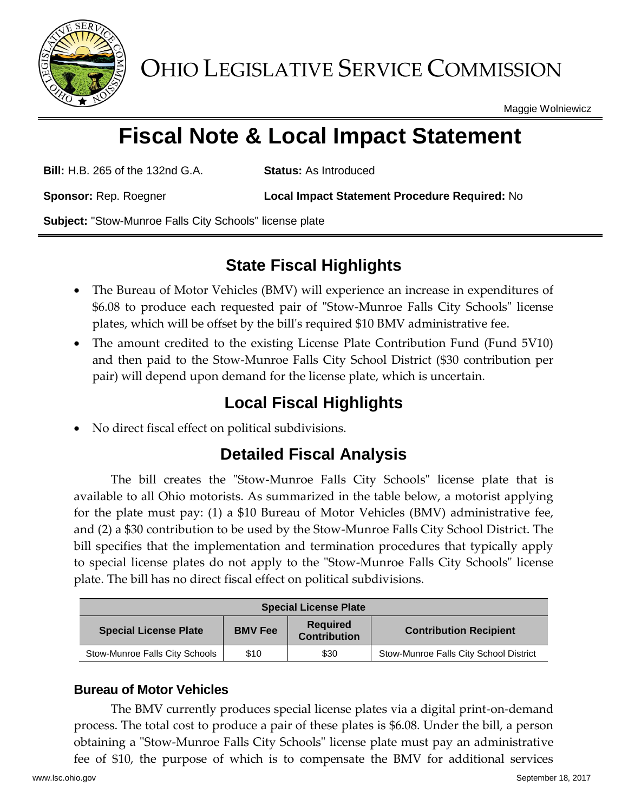

OHIO LEGISLATIVE SERVICE COMMISSION

Maggie Wolniewicz

# **Fiscal Note & Local Impact Statement**

**Bill:** H.B. 265 of the 132nd G.A. **Status:** As Introduced

**Sponsor:** Rep. Roegner **Local Impact Statement Procedure Required:** No

**Subject:** "Stow-Munroe Falls City Schools" license plate

# **State Fiscal Highlights**

- The Bureau of Motor Vehicles (BMV) will experience an increase in expenditures of \$6.08 to produce each requested pair of "Stow-Munroe Falls City Schools" license plates, which will be offset by the bill's required \$10 BMV administrative fee.
- The amount credited to the existing License Plate Contribution Fund (Fund 5V10) and then paid to the Stow-Munroe Falls City School District (\$30 contribution per pair) will depend upon demand for the license plate, which is uncertain.

# **Local Fiscal Highlights**

No direct fiscal effect on political subdivisions.

## **Detailed Fiscal Analysis**

The bill creates the "Stow-Munroe Falls City Schools" license plate that is available to all Ohio motorists. As summarized in the table below, a motorist applying for the plate must pay: (1) a \$10 Bureau of Motor Vehicles (BMV) administrative fee, and (2) a \$30 contribution to be used by the Stow-Munroe Falls City School District. The bill specifies that the implementation and termination procedures that typically apply to special license plates do not apply to the "Stow-Munroe Falls City Schools" license plate. The bill has no direct fiscal effect on political subdivisions.

| <b>Special License Plate</b>   |                |                                        |                                        |
|--------------------------------|----------------|----------------------------------------|----------------------------------------|
| <b>Special License Plate</b>   | <b>BMV Fee</b> | <b>Required</b><br><b>Contribution</b> | <b>Contribution Recipient</b>          |
| Stow-Munroe Falls City Schools | \$10           | \$30                                   | Stow-Munroe Falls City School District |

### **Bureau of Motor Vehicles**

The BMV currently produces special license plates via a digital print-on-demand process. The total cost to produce a pair of these plates is \$6.08. Under the bill, a person obtaining a "Stow-Munroe Falls City Schools" license plate must pay an administrative fee of \$10, the purpose of which is to compensate the BMV for additional services